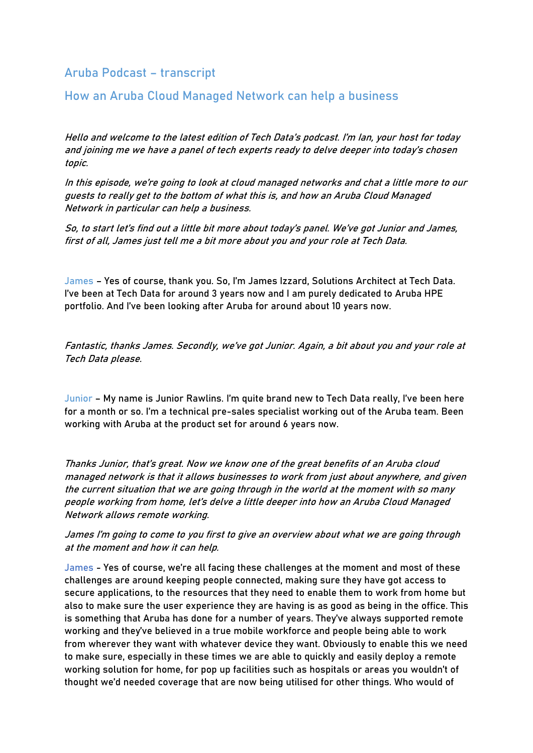Aruba Podcast – transcript

How an Aruba Cloud Managed Network can help a business

Hello and welcome to the latest edition of Tech Data's podcast. I'm Ian, your host for today and joining me we have a panel of tech experts ready to delve deeper into today's chosen topic.

In this episode, <sup>w</sup>e're going to look at cloud managed networks and chat a little more to our guests to really get to the bottom of what this is, and how an Aruba Cloud Managed Network in particular can help a business.

So, to start let's find out a little bit more about today's panel. We've got Junior and James, first of all, James just tell me a bit more about you and your role at Tech Data.

James – Yes of course, thank you. So, I'm James Izzard, Solutions Architect at Tech Data. I've been at Tech Data for around 3 years now and I am purely dedicated to Aruba HPE portfolio. And I've been looking after Aruba for around about 10 years now.

Fantastic, thanks James. Secondly, we've got Junior. Again, a bit about you and your role at Tech Data please.

Junior – My name is Junior Rawlins. I'm quite brand new to Tech Data really, I've been here for a month or so. I'm a technical pre-sales specialist working out of the Aruba team. Been working with Aruba at the product set for around 6 years now.

Thanks Junior, that's great. Now we know one of the great benefits of an Aruba cloud managed network is that it allows businesses to work from just about anywhere, and given the current situation that we are going through in the world at the moment with so many people working from home, let's delve a little deeper into how an Aruba Cloud Managed Network allows remote working.

James I'm going to come to you first to give an overview about what we are going through at the moment and how it can help.

James - Yes of course, we're all facing these challenges at the moment and most of these challenges are around keeping people connected, making sure they have got access to secure applications, to the resources that they need to enable them to work from home but also to make sure the user experience they are having is as good as being in the office. This is something that Aruba has done for a number of years. They've always supported remote working and they've believed in a true mobile workforce and people being able to work from wherever they want with whatever device they want. Obviously to enable this we need to make sure, especially in these times we are able to quickly and easily deploy a remote working solution for home, for pop up facilities such as hospitals or areas you wouldn't of thought we'd needed coverage that are now being utilised for other things. Who would of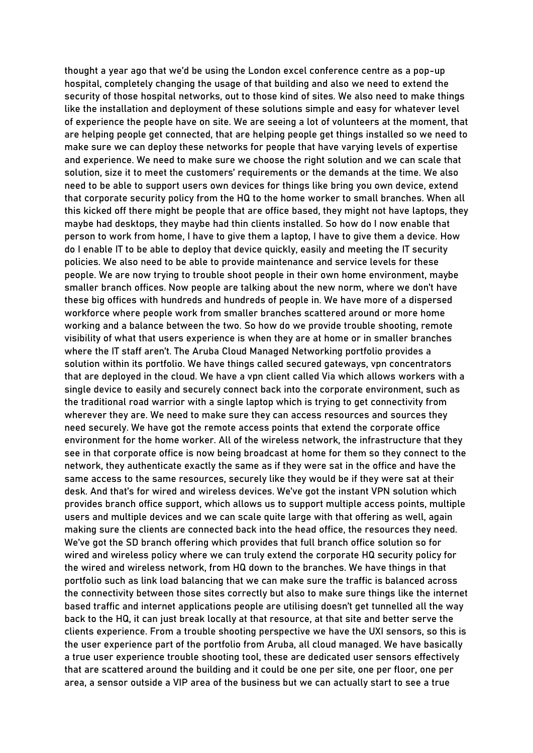thought a year ago that we'd be using the London excel conference centre as a pop-up hospital, completely changing the usage of that building and also we need to extend the security of those hospital networks, out to those kind of sites. We also need to make things like the installation and deployment of these solutions simple and easy for whatever level of experience the people have on site. We are seeing a lot of volunteers at the moment, that are helping people get connected, that are helping people get things installed so we need to make sure we can deploy these networks for people that have varying levels of expertise and experience. We need to make sure we choose the right solution and we can scale that solution, size it to meet the customers' requirements or the demands at the time. We also need to be able to support users own devices for things like bring you own device, extend that corporate security policy from the HQ to the home worker to small branches. When all this kicked off there might be people that are office based, they might not have laptops, they maybe had desktops, they maybe had thin clients installed. So how do I now enable that person to work from home, I have to give them a laptop, I have to give them a device. How do I enable IT to be able to deploy that device quickly, easily and meeting the IT security policies. We also need to be able to provide maintenance and service levels for these people. We are now trying to trouble shoot people in their own home environment, maybe smaller branch offices. Now people are talking about the new norm, where we don't have these big offices with hundreds and hundreds of people in. We have more of a dispersed workforce where people work from smaller branches scattered around or more home working and a balance between the two. So how do we provide trouble shooting, remote visibility of what that users experience is when they are at home or in smaller branches where the IT staff aren't. The Aruba Cloud Managed Networking portfolio provides a solution within its portfolio. We have things called secured gateways, vpn concentrators that are deployed in the cloud. We have a vpn client called Via which allows workers with a single device to easily and securely connect back into the corporate environment, such as the traditional road warrior with a single laptop which is trying to get connectivity from wherever they are. We need to make sure they can access resources and sources they need securely. We have got the remote access points that extend the corporate office environment for the home worker. All of the wireless network, the infrastructure that they see in that corporate office is now being broadcast at home for them so they connect to the network, they authenticate exactly the same as if they were sat in the office and have the same access to the same resources, securely like they would be if they were sat at their desk. And that's for wired and wireless devices. We've got the instant VPN solution which provides branch office support, which allows us to support multiple access points, multiple users and multiple devices and we can scale quite large with that offering as well, again making sure the clients are connected back into the head office, the resources they need. We've got the SD branch offering which provides that full branch office solution so for wired and wireless policy where we can truly extend the corporate HQ security policy for the wired and wireless network, from HQ down to the branches. We have things in that portfolio such as link load balancing that we can make sure the traffic is balanced across the connectivity between those sites correctly but also to make sure things like the internet based traffic and internet applications people are utilising doesn't get tunnelled all the way back to the HQ, it can just break locally at that resource, at that site and better serve the clients experience. From a trouble shooting perspective we have the UXI sensors, so this is the user experience part of the portfolio from Aruba, all cloud managed. We have basically a true user experience trouble shooting tool, these are dedicated user sensors effectively that are scattered around the building and it could be one per site, one per floor, one per area, a sensor outside a VIP area of the business but we can actually start to see a true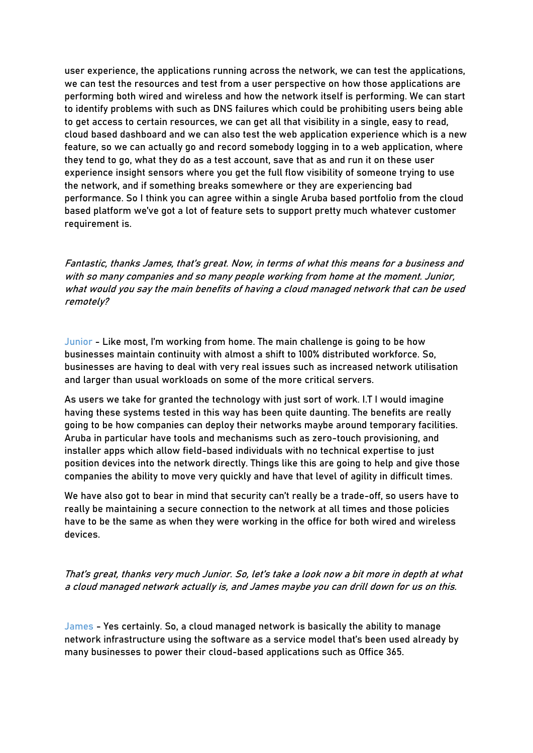user experience, the applications running across the network, we can test the applications, we can test the resources and test from a user perspective on how those applications are performing both wired and wireless and how the network itself is performing. We can start to identify problems with such as DNS failures which could be prohibiting users being able to get access to certain resources, we can get all that visibility in a single, easy to read, cloud based dashboard and we can also test the web application experience which is a new feature, so we can actually go and record somebody logging in to a web application, where they tend to go, what they do as a test account, save that as and run it on these user experience insight sensors where you get the full flow visibility of someone trying to use the network, and if something breaks somewhere or they are experiencing bad performance. So I think you can agree within a single Aruba based portfolio from the cloud based platform we've got a lot of feature sets to support pretty much whatever customer requirement is.

Fantastic, thanks James, that's great. Now, in terms of what this means for a business and with so many companies and so many people working from home at the moment. Junior, what would you say the main benefits of having a cloud managed network that can be used remotely?

Junior - Like most, I'm working from home. The main challenge is going to be how businesses maintain continuity with almost a shift to 100% distributed workforce. So, businesses are having to deal with very real issues such as increased network utilisation and larger than usual workloads on some of the more critical servers.

As users we take for granted the technology with just sort of work. I.T I would imagine having these systems tested in this way has been quite daunting. The benefits are really going to be how companies can deploy their networks maybe around temporary facilities. Aruba in particular have tools and mechanisms such as zero-touch provisioning, and installer apps which allow field-based individuals with no technical expertise to just position devices into the network directly. Things like this are going to help and give those companies the ability to move very quickly and have that level of agility in difficult times.

We have also got to bear in mind that security can't really be a trade-off, so users have to really be maintaining a secure connection to the network at all times and those policies have to be the same as when they were working in the office for both wired and wireless devices.

That's great, thanks very much Junior. So, let's take a look now a bit more in depth at what a cloud managed network actually is, and James maybe you can drill down for us on this.

James - Yes certainly. So, a cloud managed network is basically the ability to manage network infrastructure using the software as a service model that's been used already by many businesses to power their cloud-based applications such as Office 365.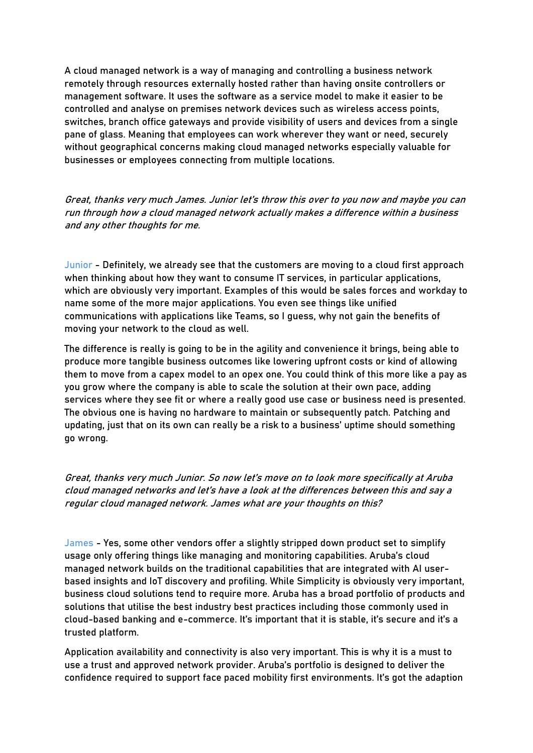A cloud managed network is a way of managing and controlling a business network remotely through resources externally hosted rather than having onsite controllers or management software. It uses the software as a service model to make it easier to be controlled and analyse on premises network devices such as wireless access points, switches, branch office gateways and provide visibility of users and devices from a single pane of glass. Meaning that employees can work wherever they want or need, securely without geographical concerns making cloud managed networks especially valuable for businesses or employees connecting from multiple locations.

Great, thanks very much James. Junior let's throw this over to you now and maybe you can run through how a cloud managed network actually makes a difference within a business and any other thoughts for me.

Junior - Definitely, we already see that the customers are moving to a cloud first approach when thinking about how they want to consume IT services, in particular applications, which are obviously very important. Examples of this would be sales forces and workday to name some of the more major applications. You even see things like unified communications with applications like Teams, so I guess, why not gain the benefits of moving your network to the cloud as well.

The difference is really is going to be in the agility and convenience it brings, being able to produce more tangible business outcomes like lowering upfront costs or kind of allowing them to move from a capex model to an opex one. You could think of this more like a pay as you grow where the company is able to scale the solution at their own pace, adding services where they see fit or where a really good use case or business need is presented. The obvious one is having no hardware to maintain or subsequently patch. Patching and updating, just that on its own can really be a risk to a business' uptime should something go wrong.

Great, thanks very much Junior. So now let's move on to look more specifically at Aruba cloud managed networks and let's have a look at the differences between this and say a regular cloud managed network. James what are your thoughts on this?

James - Yes, some other vendors offer a slightly stripped down product set to simplify usage only offering things like managing and monitoring capabilities. Aruba's cloud managed network builds on the traditional capabilities that are integrated with AI userbased insights and IoT discovery and profiling. While Simplicity is obviously very important, business cloud solutions tend to require more. Aruba has a broad portfolio of products and solutions that utilise the best industry best practices including those commonly used in cloud-based banking and e-commerce. It's important that it is stable, it's secure and it's a trusted platform.

Application availability and connectivity is also very important. This is why it is a must to use a trust and approved network provider. Aruba's portfolio is designed to deliver the confidence required to support face paced mobility first environments. It's got the adaption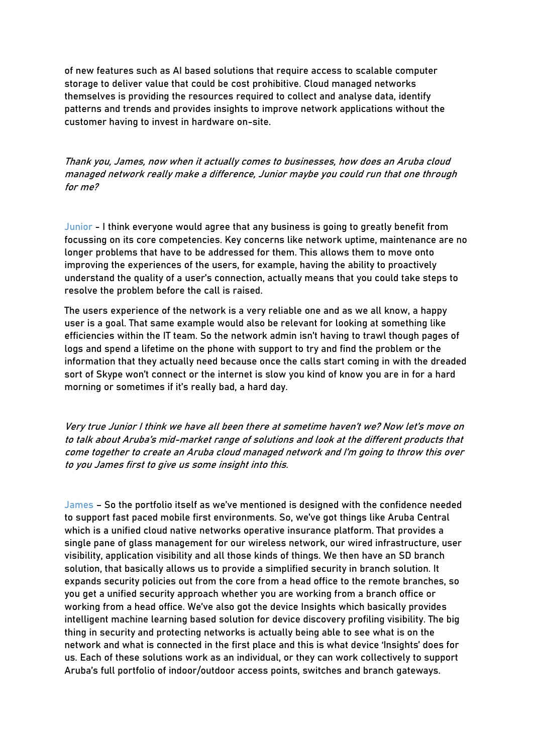of new features such as AI based solutions that require access to scalable computer storage to deliver value that could be cost prohibitive. Cloud managed networks themselves is providing the resources required to collect and analyse data, identify patterns and trends and provides insights to improve network applications without the customer having to invest in hardware on-site.

Thank you, James, now when it actually comes to businesses, how does an Aruba cloud managed network really make a difference, Junior maybe you could run that one through for me?

Junior - I think everyone would agree that any business is going to greatly benefit from focussing on its core competencies. Key concerns like network uptime, maintenance are no longer problems that have to be addressed for them. This allows them to move onto improving the experiences of the users, for example, having the ability to proactively understand the quality of a user's connection, actually means that you could take steps to resolve the problem before the call is raised.

The users experience of the network is a very reliable one and as we all know, a happy user is a goal. That same example would also be relevant for looking at something like efficiencies within the IT team. So the network admin isn't having to trawl though pages of logs and spend a lifetime on the phone with support to try and find the problem or the information that they actually need because once the calls start coming in with the dreaded sort of Skype won't connect or the internet is slow you kind of know you are in for a hard morning or sometimes if it's really bad, a hard day.

Very true Junior I think we have all been there at sometime haven't we? Now let's move on to talk about Aruba's mid-market range of solutions and look at the different products that come together to create an Aruba cloud managed network and I'm going to throw this over to you James first to give us some insight into this.

James – So the portfolio itself as we've mentioned is designed with the confidence needed to support fast paced mobile first environments. So, we've got things like Aruba Central which is a unified cloud native networks operative insurance platform. That provides a single pane of glass management for our wireless network, our wired infrastructure, user visibility, application visibility and all those kinds of things. We then have an SD branch solution, that basically allows us to provide a simplified security in branch solution. It expands security policies out from the core from a head office to the remote branches, so you get a unified security approach whether you are working from a branch office or working from a head office. We've also got the device Insights which basically provides intelligent machine learning based solution for device discovery profiling visibility. The big thing in security and protecting networks is actually being able to see what is on the network and what is connected in the first place and this is what device 'Insights' does for us. Each of these solutions work as an individual, or they can work collectively to support Aruba's full portfolio of indoor/outdoor access points, switches and branch gateways.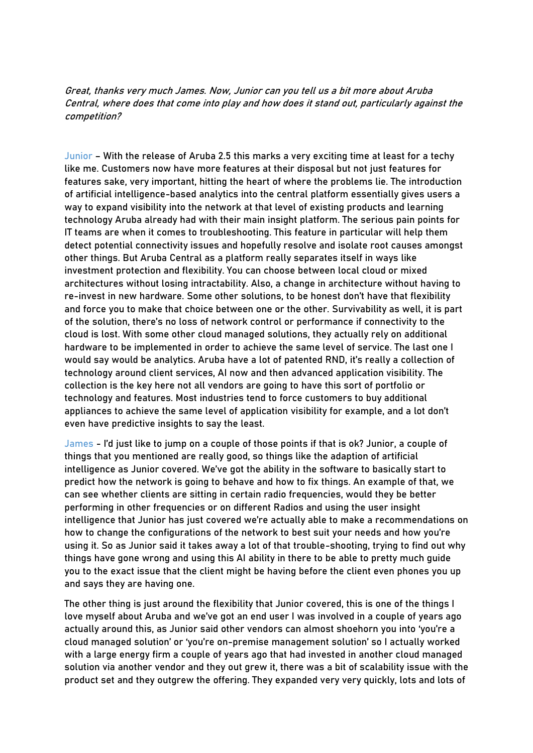Great, thanks very much James. Now, Junior can you tell us a bit more about Aruba Central, where does that come into play and how does it stand out, particularly against the competition?

Junior – With the release of Aruba 2.5 this marks a very exciting time at least for a techy like me. Customers now have more features at their disposal but not just features for features sake, very important, hitting the heart of where the problems lie. The introduction of artificial intelligence-based analytics into the central platform essentially gives users a way to expand visibility into the network at that level of existing products and learning technology Aruba already had with their main insight platform. The serious pain points for IT teams are when it comes to troubleshooting. This feature in particular will help them detect potential connectivity issues and hopefully resolve and isolate root causes amongst other things. But Aruba Central as a platform really separates itself in ways like investment protection and flexibility. You can choose between local cloud or mixed architectures without losing intractability. Also, a change in architecture without having to re-invest in new hardware. Some other solutions, to be honest don't have that flexibility and force you to make that choice between one or the other. Survivability as well, it is part of the solution, there's no loss of network control or performance if connectivity to the cloud is lost. With some other cloud managed solutions, they actually rely on additional hardware to be implemented in order to achieve the same level of service. The last one I would say would be analytics. Aruba have a lot of patented RND, it's really a collection of technology around client services, AI now and then advanced application visibility. The collection is the key here not all vendors are going to have this sort of portfolio or technology and features. Most industries tend to force customers to buy additional appliances to achieve the same level of application visibility for example, and a lot don't even have predictive insights to say the least.

James - I'd just like to jump on a couple of those points if that is ok? Junior, a couple of things that you mentioned are really good, so things like the adaption of artificial intelligence as Junior covered. We've got the ability in the software to basically start to predict how the network is going to behave and how to fix things. An example of that, we can see whether clients are sitting in certain radio frequencies, would they be better performing in other frequencies or on different Radios and using the user insight intelligence that Junior has just covered we're actually able to make a recommendations on how to change the configurations of the network to best suit your needs and how you're using it. So as Junior said it takes away a lot of that trouble-shooting, trying to find out why things have gone wrong and using this AI ability in there to be able to pretty much guide you to the exact issue that the client might be having before the client even phones you up and says they are having one.

The other thing is just around the flexibility that Junior covered, this is one of the things I love myself about Aruba and we've got an end user I was involved in a couple of years ago actually around this, as Junior said other vendors can almost shoehorn you into 'you're a cloud managed solution' or 'you're on-premise management solution' so I actually worked with a large energy firm a couple of years ago that had invested in another cloud managed solution via another vendor and they out grew it, there was a bit of scalability issue with the product set and they outgrew the offering. They expanded very very quickly, lots and lots of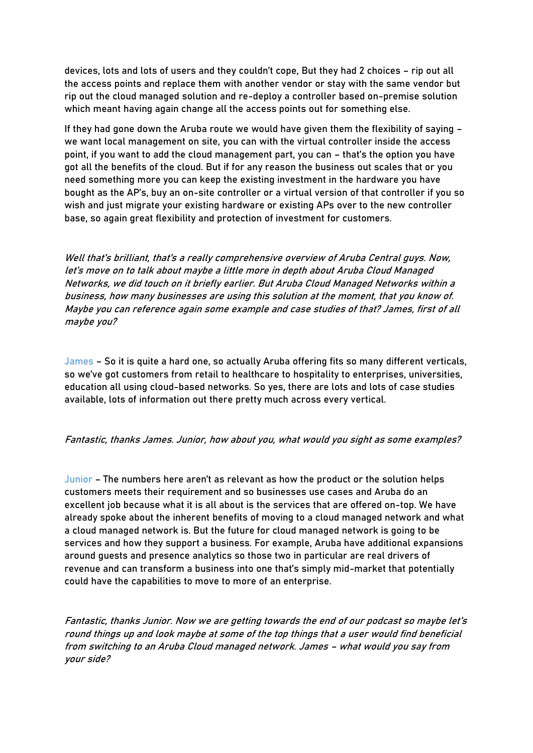devices, lots and lots of users and they couldn't cope, But they had 2 choices – rip out all the access points and replace them with another vendor or stay with the same vendor but rip out the cloud managed solution and re-deploy a controller based on-premise solution which meant having again change all the access points out for something else.

If they had gone down the Aruba route we would have given them the flexibility of saying – we want local management on site, you can with the virtual controller inside the access point, if you want to add the cloud management part, you can – that's the option you have got all the benefits of the cloud. But if for any reason the business out scales that or you need something more you can keep the existing investment in the hardware you have bought as the AP's, buy an on-site controller or a virtual version of that controller if you so wish and just migrate your existing hardware or existing APs over to the new controller base, so again great flexibility and protection of investment for customers.

Well that's brilliant, that's a really comprehensive overview of Aruba Central guys. Now, let's move on to talk about maybe a little more in depth about Aruba Cloud Managed Networks, we did touch on it briefly earlier. But Aruba Cloud Managed Networks within a business, how many businesses are using this solution at the moment, that you know of. Maybe you can reference again some example and case studies of that? James, first of all maybe you?

James – So it is quite a hard one, so actually Aruba offering fits so many different verticals, so we've got customers from retail to healthcare to hospitality to enterprises, universities, education all using cloud-based networks. So yes, there are lots and lots of case studies available, lots of information out there pretty much across every vertical.

## Fantastic, thanks James. Junior, how about you, what would you sight as some examples?

Junior – The numbers here aren't as relevant as how the product or the solution helps customers meets their requirement and so businesses use cases and Aruba do an excellent job because what it is all about is the services that are offered on-top. We have already spoke about the inherent benefits of moving to a cloud managed network and what a cloud managed network is. But the future for cloud managed network is going to be services and how they support a business. For example, Aruba have additional expansions around guests and presence analytics so those two in particular are real drivers of revenue and can transform a business into one that's simply mid-market that potentially could have the capabilities to move to more of an enterprise.

Fantastic, thanks Junior. Now we are getting towards the end of our podcast so maybe let'<sup>s</sup> round things up and look maybe at some of the top things that a user would find beneficial from switching to an Aruba Cloud managed network. James – what would you say from your side?